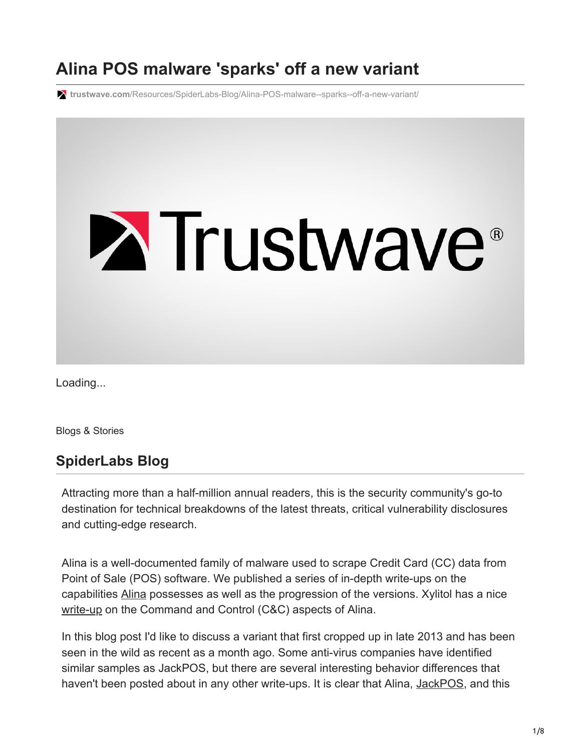# **Alina POS malware 'sparks' off a new variant**

**trustwave.com**[/Resources/SpiderLabs-Blog/Alina-POS-malware--sparks--off-a-new-variant/](https://www.trustwave.com/Resources/SpiderLabs-Blog/Alina-POS-malware--sparks--off-a-new-variant/)



Loading...

Blogs & Stories

# **SpiderLabs Blog**

Attracting more than a half-million annual readers, this is the security community's go-to destination for technical breakdowns of the latest threats, critical vulnerability disclosures and cutting-edge research.

Alina is a well-documented family of malware used to scrape Credit Card (CC) data from Point of Sale (POS) software. We published a series of in-depth write-ups on the capabilities [Alina](http://blog.spiderlabs.com/2013/05/alina-shedding-some-light-on-this-malware-family.html) possesses as well as the progression of the versions. Xylitol has a nice [write-up](http://www.xylibox.com/2013/10/inside-malware-campaign-alina-dexter.html) on the Command and Control (C&C) aspects of Alina.

In this blog post I'd like to discuss a variant that first cropped up in late 2013 and has been seen in the wild as recent as a month ago. Some anti-virus companies have identified similar samples as JackPOS, but there are several interesting behavior differences that haven't been posted about in any other write-ups. It is clear that Alina, [JackPOS,](http://blog.spiderlabs.com/2014/02/jackpos-the-house-always-wins.html) and this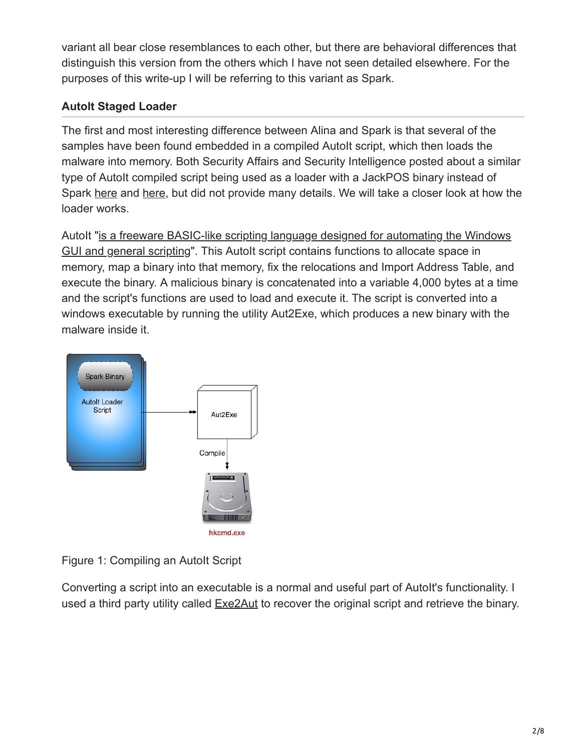variant all bear close resemblances to each other, but there are behavioral differences that distinguish this version from the others which I have not seen detailed elsewhere. For the purposes of this write-up I will be referring to this variant as Spark.

# **AutoIt Staged Loader**

The first and most interesting difference between Alina and Spark is that several of the samples have been found embedded in a compiled AutoIt script, which then loads the malware into memory. Both Security Affairs and Security Intelligence posted about a similar type of AutoIt compiled script being used as a loader with a JackPOS binary instead of Spark [here](http://securityaffairs.co/wordpress/22121/malware/jackpos-pos-malware.html) and [here,](http://securityintelligence.com/trusteer-apex-preempts-new-point-of-sale-malware-jackpos/#.VItdf2TF9WY) but did not provide many details. We will take a closer look at how the loader works.

[AutoIt "is a freeware BASIC-like scripting language designed for automating the Windows](https://www.autoitscript.com/site/autoit/) GUI and general scripting". This AutoIt script contains functions to allocate space in memory, map a binary into that memory, fix the relocations and Import Address Table, and execute the binary. A malicious binary is concatenated into a variable 4,000 bytes at a time and the script's functions are used to load and execute it. The script is converted into a windows executable by running the utility Aut2Exe, which produces a new binary with the malware inside it.



Figure 1: Compiling an Autolt Script

Converting a script into an executable is a normal and useful part of AutoIt's functionality. I used a third party utility called **Exe2Aut** to recover the original script and retrieve the binary.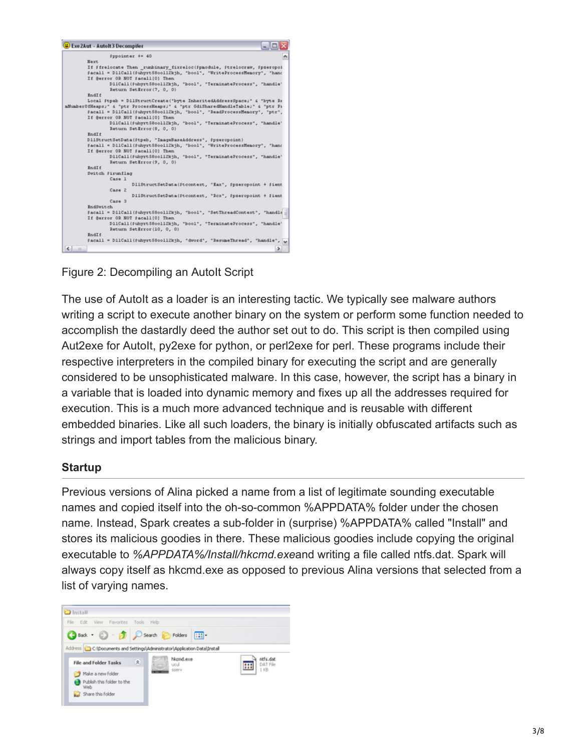

Figure 2: Decompiling an AutoIt Script

The use of AutoIt as a loader is an interesting tactic. We typically see malware authors writing a script to execute another binary on the system or perform some function needed to accomplish the dastardly deed the author set out to do. This script is then compiled using Aut2exe for Autolt, py2exe for python, or perl2exe for perl. These programs include their respective interpreters in the compiled binary for executing the script and are generally considered to be unsophisticated malware. In this case, however, the script has a binary in a variable that is loaded into dynamic memory and fixes up all the addresses required for execution. This is a much more advanced technique and is reusable with different embedded binaries. Like all such loaders, the binary is initially obfuscated artifacts such as strings and import tables from the malicious binary.

#### **Startup**

Previous versions of Alina picked a name from a list of legitimate sounding executable names and copied itself into the oh-so-common %APPDATA% folder under the chosen name. Instead, Spark creates a sub-folder in (surprise) %APPDATA% called "Install" and stores its malicious goodies in there. These malicious goodies include copying the original executable to *%APPDATA%/Install/hkcmd.exe*and writing a file called ntfs.dat. Spark will always copy itself as hkcmd.exe as opposed to previous Alina versions that selected from a list of varying names.

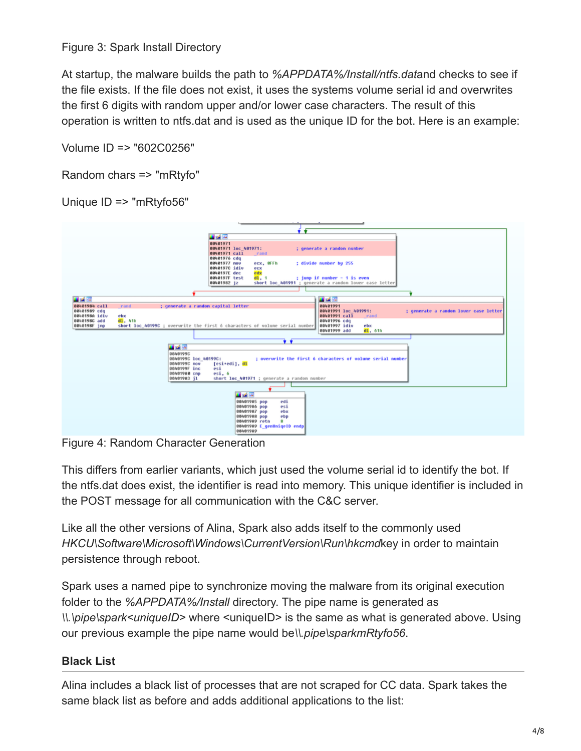Figure 3: Spark Install Directory

At startup, the malware builds the path to *%APPDATA%/Install/ntfs.dat*and checks to see if the file exists. If the file does not exist, it uses the systems volume serial id and overwrites the first 6 digits with random upper and/or lower case characters. The result of this operation is written to ntfs.dat and is used as the unique ID for the bot. Here is an example:

Volume ID => "602C0256"

Random chars => "mRtyfo"

Unique ID => "mRtyfo56"

|                               | 山岳国                                                                                                  |
|-------------------------------|------------------------------------------------------------------------------------------------------|
|                               | 88481971                                                                                             |
|                               | 88481971 loc 481971:<br>; generate a randon number<br>00401971 call                                  |
|                               | rand<br>88481976 cdg                                                                                 |
|                               | : divide number by 255<br>88481977 nov<br>ecx, OFFh                                                  |
|                               | BB48197C idiu<br>ecx                                                                                 |
|                               | 8848197E dec<br>edx                                                                                  |
|                               | BB40197F test<br>d1.1<br>; jump if number - 1 is even                                                |
|                               | 88481982 jz<br>short loc 401991 : generate a randon lower case letter                                |
|                               |                                                                                                      |
|                               |                                                                                                      |
| 国語図                           | 耳式国                                                                                                  |
| 88481984 call                 | 88481991<br>; generate a randon capital letter<br>rand                                               |
| 88481989 cdg<br>8848198A idiu | 88481991 loc 481991:<br>; generate a randon lower case letter<br>08401991 call<br>ebx<br><b>rand</b> |
| 8848198C add                  | d1, 41h<br>88481996 cdg                                                                              |
| 8848198F jnp                  | short loc 40199C ; overurite the first 6 characters of volume serial number<br>08401997 idiu<br>ebx  |
|                               | 88481999 add<br>d1.61h                                                                               |
|                               |                                                                                                      |
|                               | $\bullet$ $\bullet$                                                                                  |
|                               | 国語学                                                                                                  |
|                               | 8848199C                                                                                             |
|                               | : overurite the first 6 characters of volume serial number<br>8848199C loc_48199C:                   |
|                               | 8848199C nov<br>[esi*edi]. dl                                                                        |
|                               | 0040199F inc<br>esi<br>884819A8 cnp<br>esi, 6                                                        |
|                               | 884819A3 jl<br>short loc_401971 ; generate a randon number                                           |
|                               |                                                                                                      |
|                               |                                                                                                      |
|                               | 耳式障                                                                                                  |
|                               | 084019A5 pop<br>edi                                                                                  |
|                               | 084019A6 pop<br>esi                                                                                  |
|                               | 084019A7 pop<br>ebx                                                                                  |
|                               | 084019A8 pop<br>ebp                                                                                  |
|                               | 884819A9 retn<br>88                                                                                  |
|                               | 004019A9 E genUnigeID endp<br>88481989                                                               |
|                               |                                                                                                      |

Figure 4: Random Character Generation

This differs from earlier variants, which just used the volume serial id to identify the bot. If the ntfs.dat does exist, the identifier is read into memory. This unique identifier is included in the POST message for all communication with the C&C server.

Like all the other versions of Alina, Spark also adds itself to the commonly used *HKCU\Software\Microsoft\Windows\CurrentVersion\Run\hkcmd*key in order to maintain persistence through reboot.

Spark uses a named pipe to synchronize moving the malware from its original execution folder to the *%APPDATA%/Install* directory. The pipe name is generated as *\\.\pipe\spark<uniqueID>* where <uniqueID> is the same as what is generated above. Using our previous example the pipe name would be*\\.pipe\sparkmRtyfo56*.

# **Black List**

Alina includes a black list of processes that are not scraped for CC data. Spark takes the same black list as before and adds additional applications to the list: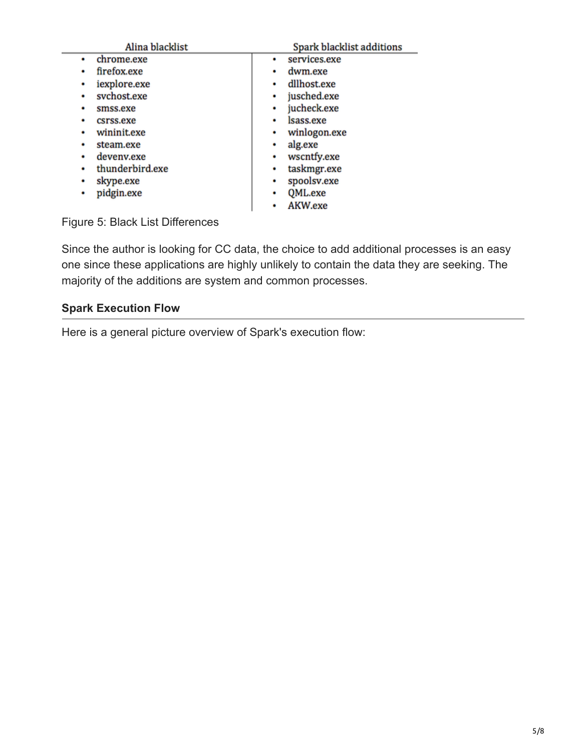| Alina blacklist  | <b>Spark blacklist additions</b> |
|------------------|----------------------------------|
| chrome.exe       | services.exe<br>٠                |
| firefox.exe<br>٠ | dwm.exe                          |
| iexplore.exe     | dllhost.exe                      |
| ۰                | ٠                                |
| svchost.exe      | jusched.exe                      |
| ٠                | ٠                                |
| smss.exe         | jucheck.exe                      |
| ٠                | ٠                                |
| csrss.exe        | lsass.exe                        |
| ٠                | ٠                                |
| wininit.exe      | winlogon.exe                     |
| ۰                | ٠                                |
| steam.exe        | alg.exe<br>٠                     |
| deveny.exe       | wscntfy.exe                      |
| ٠                | ٠                                |
| thunderbird.exe  | taskmgr.exe                      |
| ۰                | ٠                                |
| skype.exe        | spoolsv.exe                      |
| ٠                | ٠                                |
| pidgin.exe       | QML.exe                          |
| ٠                | ٠                                |
|                  | AKW.exe<br>٠                     |

Figure 5: Black List Differences

Since the author is looking for CC data, the choice to add additional processes is an easy one since these applications are highly unlikely to contain the data they are seeking. The majority of the additions are system and common processes.

## **Spark Execution Flow**

Here is a general picture overview of Spark's execution flow: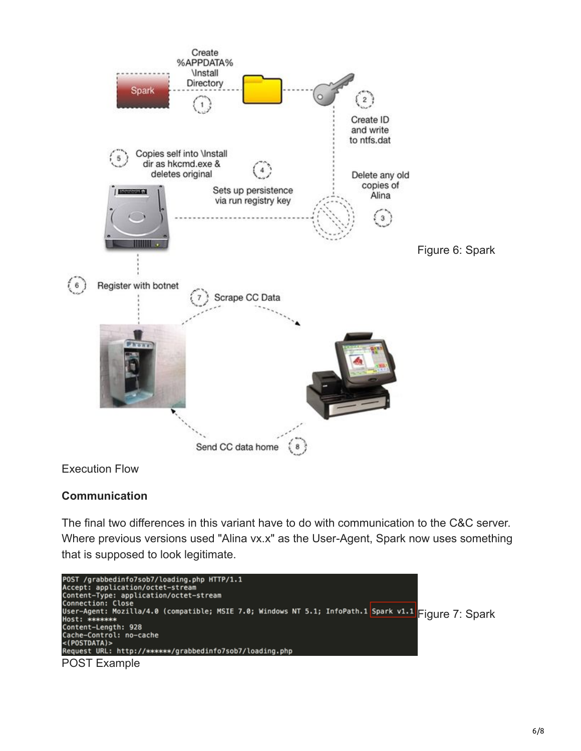

#### Execution Flow

# **Communication**

The final two differences in this variant have to do with communication to the C&C server. Where previous versions used "Alina vx.x" as the User-Agent, Spark now uses something that is supposed to look legitimate.

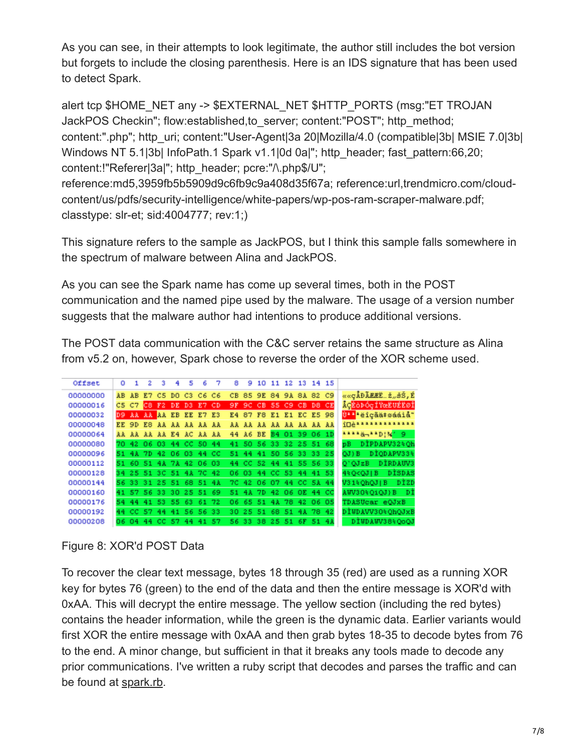As you can see, in their attempts to look legitimate, the author still includes the bot version but forgets to include the closing parenthesis. Here is an IDS signature that has been used to detect Spark.

alert tcp \$HOME\_NET any -> \$EXTERNAL\_NET \$HTTP\_PORTS (msg:"ET TROJAN JackPOS Checkin"; flow:established,to\_server; content:"POST"; http\_method; content:".php"; http\_uri; content:"User-Agent|3a 20|Mozilla/4.0 (compatible|3b| MSIE 7.0|3b| Windows NT 5.1|3b| InfoPath.1 Spark v1.1|0d 0a|"; http\_header; fast\_pattern:66,20; content:!"Referer|3a|"; http\_header; pcre:"/\.php\$/U"; reference:md5,3959fb5b5909d9c6fb9c9a408d35f67a; reference:url,trendmicro.com/cloud-

content/us/pdfs/security-intelligence/white-papers/wp-pos-ram-scraper-malware.pdf; classtype: slr-et; sid:4004777; rev:1;)

This signature refers to the sample as JackPOS, but I think this sample falls somewhere in the spectrum of malware between Alina and JackPOS.

As you can see the Spark name has come up several times, both in the POST communication and the named pipe used by the malware. The usage of a version number suggests that the malware author had intentions to produce additional versions.

The POST data communication with the C&C server retains the same structure as Alina from v5.2 on, however, Spark chose to reverse the order of the XOR scheme used.

| Offset   | ٥   |       | 2                       | з              | 4              | 5  | 6           | 7                       | 8   | 9  | 10                      | 11 | 12                | 13 |       | 14 15                   |                                |
|----------|-----|-------|-------------------------|----------------|----------------|----|-------------|-------------------------|-----|----|-------------------------|----|-------------------|----|-------|-------------------------|--------------------------------|
| 00000000 | AB. | AB.   | E7                      | C <sub>5</sub> |                |    | DO C3 C6 C6 |                         |     |    | CB 85 9E 84 9A 8A 82 C9 |    |                   |    |       |                         | ««çÅĐÃÆÆË…ž"šŠ,É               |
| 00000016 |     | C5 C7 |                         |                |                |    |             | C8 F2 DE D3 E7 CD       |     |    |                         |    |                   |    |       | 9F 9C CB 55 C9 CB D8 CE | <b>AG</b> ÉÒÞÓ¢ÍYœEUÉEØÍ       |
| 00000032 |     |       |                         |                |                |    |             | D9 AA AA AA EB EE E7 E3 |     |    | E4 87 F8 E1 E1 EC E5 98 |    |                   |    |       |                         | 0''''aiçãä#sááiå"              |
| 00000048 |     |       | EE 9D E8 AA AA AA AA AA |                |                |    |             |                         |     |    | AA AA AA AA AA AA AA    |    |                   |    |       |                         | <b>indensassassassa</b>        |
| 00000064 |     |       | AA AA AA AA E4 AC AA AA |                |                |    |             |                         |     |    | 44 A6 BE B4 01 39 06 1D |    |                   |    |       |                         | 1111ä-11D!%' 9                 |
| 00000080 |     |       | 70 42 06 03 44 CC 50 44 |                |                |    |             |                         |     |    | 41 50 56 33 32 25 51 68 |    |                   |    |       |                         | pB DIPDAPV32%Qh                |
| 00000096 |     |       | 51 4A 7D                |                | 42 06 03 44 CC |    |             |                         | 51. | 44 |                         |    | 41 50 56 33 33 25 |    |       |                         | DIODAPV33%<br>$OJ$ } $B$       |
| 00000112 |     |       | 51 60 51 4A 7A 42 06 03 |                |                |    |             |                         |     |    | 44 CC 52 44 41 55 56 33 |    |                   |    |       |                         | O'OJzB DİRDAUV3                |
| 00000128 |     |       | 34 25 51 3C 51 4A 7C 42 |                |                |    |             |                         |     |    | 06 03 44 CC 53 44 41 53 |    |                   |    |       |                         | 4% O <ojib<br>DISDAS</ojib<br> |
| 00000144 |     |       | 56 33 31 25 51 68 51 4A |                |                |    |             |                         |     |    | 7C 42 06 07 44 CC 5A 44 |    |                   |    |       |                         | V31% QhQJ   B<br>DÌZD          |
| 00000160 |     |       | 41 57 56 33 30 25 51 69 |                |                |    |             |                         |     |    | 51 4A 7D 42 06 OE 44 CC |    |                   |    |       |                         | AUV30%QiQJ)B<br>- DÌ           |
| 00000176 | 54. | 44.   | 41                      |                | 53 55 63 61 72 |    |             |                         |     |    | 06 65 51                |    | 4A 78 42 06 05    |    |       |                         | TDASUcar eQJxB                 |
| 00000192 |     |       | 44 CC 57 44 41 56 56 33 |                |                |    |             |                         |     |    | 30 25 51 68 51 4A 78 42 |    |                   |    |       |                         | DIWDAVV30%QhQJxB               |
| 00000208 |     | 06 04 | 44                      | CC.            | 57             | 44 |             | 41 57                   |     |    | 56 33 38 25 51          |    |                   |    | 6F 51 | 4页                      | DIWDAWV38%QoQJ                 |

#### Figure 8: XOR'd POST Data

To recover the clear text message, bytes 18 through 35 (red) are used as a running XOR key for bytes 76 (green) to the end of the data and then the entire message is XOR'd with 0xAA. This will decrypt the entire message. The yellow section (including the red bytes) contains the header information, while the green is the dynamic data. Earlier variants would first XOR the entire message with 0xAA and then grab bytes 18-35 to decode bytes from 76 to the end. A minor change, but sufficient in that it breaks any tools made to decode any prior communications. I've written a ruby script that decodes and parses the traffic and can be found at [spark.rb.](https://github.com/SpiderLabs/malware-analysis/blob/master/Ruby/Alina/spark.rb)